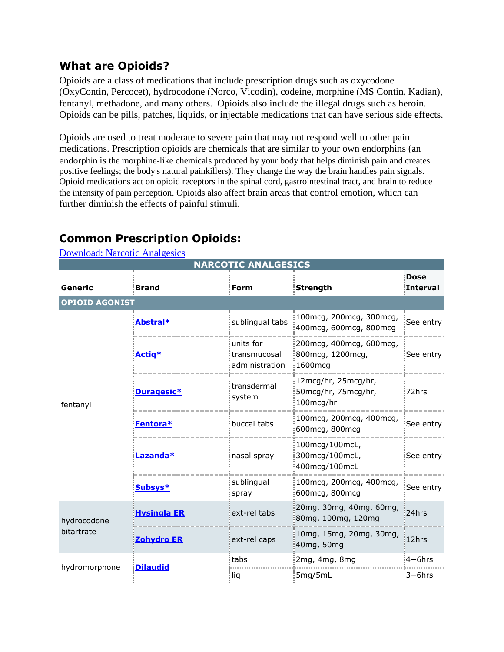## **What are Opioids?**

Opioids are a class of medications that include prescription drugs such as oxycodone (OxyContin, Percocet), hydrocodone (Norco, Vicodin), codeine, morphine (MS Contin, Kadian), fentanyl, methadone, and many others. Opioids also include the illegal drugs such as heroin. Opioids can be pills, patches, liquids, or injectable medications that can have serious side effects.

Opioids are used to treat moderate to severe pain that may not respond well to other pain medications. Prescription opioids are chemicals that are similar to your own endorphins (an endorphin is the morphine-like chemicals produced by your body that helps diminish pain and creates positive feelings; the body's natural painkillers). They change the way the brain handles pain signals. Opioid medications act on opioid receptors in the spinal cord, gastrointestinal tract, and brain to reduce the intensity of pain perception. Opioids also affect brain areas that control emotion, which can further diminish the effects of painful stimuli.

| <b>Download: Narcotic Analgesics</b> |                    |                                              |                                                              |                         |  |  |  |  |
|--------------------------------------|--------------------|----------------------------------------------|--------------------------------------------------------------|-------------------------|--|--|--|--|
| <b>NARCOTIC ANALGESICS</b>           |                    |                                              |                                                              |                         |  |  |  |  |
| Generic                              | <b>Brand</b>       | Form                                         | <b>Strength</b>                                              | <b>Dose</b><br>Interval |  |  |  |  |
| <b>OPIOID AGONIST</b>                |                    |                                              |                                                              |                         |  |  |  |  |
| fentanyl                             | <b>Abstral*</b>    | sublingual tabs                              | 100 mcg, 200 mcg, 300 mcg,<br>400mcg, 600mcg, 800mcg         | See entry               |  |  |  |  |
|                                      | Actig*             | units for!<br>transmucosal<br>administration | :200 mcg, 400 mcg, 600 mcg,<br>800 mcg, 1200 mcg,<br>1600mcg | See entry               |  |  |  |  |
|                                      | Duragesic*         | :transdermal<br>system!                      | 12mcg/hr, 25mcg/hr,<br>50mcg/hr, 75mcg/hr,<br>100mcg/hr      | 72hrs                   |  |  |  |  |
|                                      | Fentora*           | buccal tabs                                  | 100mcg, 200mcg, 400mcg,<br>600mcg, 800mcg                    | See entry               |  |  |  |  |
|                                      | Lazanda*           | nasal spray                                  | 100mcg/100mcL,<br>300mcg/100mcL,<br>400mcg/100mcL            | See entry               |  |  |  |  |
|                                      | Subsys*            | sublingual<br>spray                          | 100mcg, 200mcg, 400mcg,<br>600mcg, 800mcg                    | See entry               |  |  |  |  |
| hydrocodone<br>bitartrate            | <b>Hysingla ER</b> | ext-rel tabs                                 | 20mg, 30mg, 40mg, 60mg,<br>80mg, 100mg, 120mg                | 24hrs                   |  |  |  |  |
|                                      | <b>Zohydro ER</b>  | ext-rel caps                                 | 10mg, 15mg, 20mg, 30mg,<br>40mg, 50mg                        | 12hrs                   |  |  |  |  |
| hydromorphone                        | <b>Dilaudid</b>    | :tabs                                        | 2mg, 4mg, 8mg                                                | $4-6$ hrs               |  |  |  |  |
|                                      |                    | : liq                                        | 5mg/5mL                                                      | $3-6$ hrs               |  |  |  |  |

## **Common Prescription Opioids:**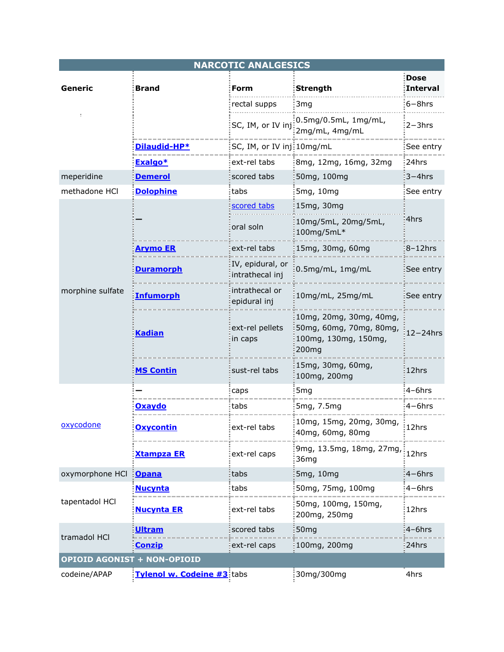| <b>NARCOTIC ANALGESICS</b>         |                            |                                     |                                                                                                 |                         |  |  |  |
|------------------------------------|----------------------------|-------------------------------------|-------------------------------------------------------------------------------------------------|-------------------------|--|--|--|
| Generic                            | <b>Brand</b>               | Form                                | <b>Strength</b>                                                                                 | <b>Dose</b><br>Interval |  |  |  |
|                                    |                            | rectal supps                        | 3mg                                                                                             | $6-8$ hrs               |  |  |  |
|                                    |                            |                                     | 0.5mg/0.5mL, 1mg/mL,<br>SC, IM, or IV $\text{inj}$ $\frac{1}{2}$ 2mg/mL, 4mg/mL                 | $2 - 3$ hrs             |  |  |  |
|                                    | <u>Dilaudid-HP*</u>        | SC, IM, or IV inj: 10mg/mL          |                                                                                                 | See entry               |  |  |  |
|                                    | Exalgo*                    | ext-rel tabs                        | 8mg, 12mg, 16mg, 32mg                                                                           | 24hrs                   |  |  |  |
| meperidine                         | <u>Demerol</u>             | scored tabs                         | 50mg, 100mg                                                                                     | $3 - 4$ hrs             |  |  |  |
| methadone HCl                      | <b>Dolophine</b>           | tabs                                | 5mg, 10mg                                                                                       | See entry               |  |  |  |
| morphine sulfate                   |                            | scored tabs                         | 15mg, 30mg                                                                                      | 4hrs                    |  |  |  |
|                                    |                            | oral soln                           | 10mg/5mL, 20mg/5mL,<br>100mg/5mL*                                                               |                         |  |  |  |
|                                    | <u>Arymo ER</u>            | ext-rel tabs                        | 15mg, 30mg, 60mg                                                                                | $8-12$ hrs              |  |  |  |
|                                    | <u>Duramorph</u>           | IV, epidural, or<br>intrathecal inj | 0.5mg/mL, 1mg/mL                                                                                | See entry               |  |  |  |
|                                    | <b>Infumorph</b>           | intrathecal or<br>epidural inj      | 10mg/mL, 25mg/mL                                                                                | See entry               |  |  |  |
|                                    | <b>Kadian</b>              | ext-rel pellets<br>in caps          | 10mg, 20mg, 30mg, 40mg,<br>50mg, 60mg, 70mg, 80mg,<br>100mg, 130mg, 150mg,<br>200 <sub>mg</sub> | $12 - 24$ hrs           |  |  |  |
|                                    | <b>MS Contin</b>           | sust-rel tabs                       | 15mg, 30mg, 60mg,<br>100mg, 200mg                                                               | 12hrs                   |  |  |  |
| oxycodone                          |                            | caps                                | 5 <sub>mg</sub>                                                                                 | $4-6$ hrs               |  |  |  |
|                                    | Oxaydo                     | tabs                                | 5mg, 7.5mg                                                                                      | $4-6$ hrs               |  |  |  |
|                                    | <u> Oxycontin</u>          | ext-rel tabs                        | 10mg, 15mg, 20mg, 30mg,<br>40mg, 60mg, 80mg                                                     | 12hrs                   |  |  |  |
|                                    | <b>Xtampza ER</b>          | ext-rel caps                        | 9mg, 13.5mg, 18mg, 27mg,<br>36mg                                                                | 12hrs                   |  |  |  |
| oxymorphone HCl                    | <b>Opana</b>               | tabs                                | 5mg, 10mg                                                                                       | $4-6$ hrs               |  |  |  |
| tapentadol HCI                     | <b>Nucynta</b>             | tabs                                | 50mg, 75mg, 100mg                                                                               | $4-6$ hrs               |  |  |  |
|                                    | <b>Nucynta ER</b>          | ext-rel tabs                        | 50mg, 100mg, 150mg,<br>200mg, 250mg                                                             | :12hrs                  |  |  |  |
| tramadol HCl                       | <b>Ultram</b>              | scored tabs                         | 50 <sub>mg</sub>                                                                                | $4-6$ hrs               |  |  |  |
|                                    | <b>Conzip</b>              | ext-rel caps                        | 100mg, 200mg                                                                                    | 24hrs                   |  |  |  |
| <b>OPIOID AGONIST + NON-OPIOID</b> |                            |                                     |                                                                                                 |                         |  |  |  |
| codeine/APAP                       | Tylenol w. Codeine #3 tabs |                                     | 30mg/300mg                                                                                      | 4hrs                    |  |  |  |